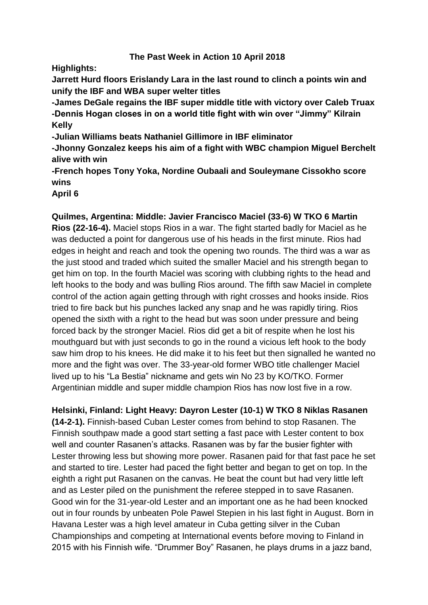#### **The Past Week in Action 10 April 2018**

**Highlights:**

**Jarrett Hurd floors Erislandy Lara in the last round to clinch a points win and unify the IBF and WBA super welter titles**

**-James DeGale regains the IBF super middle title with victory over Caleb Truax -Dennis Hogan closes in on a world title fight with win over "Jimmy" Kilrain Kelly**

**-Julian Williams beats Nathaniel Gillimore in IBF eliminator**

**-Jhonny Gonzalez keeps his aim of a fight with WBC champion Miguel Berchelt alive with win**

**-French hopes Tony Yoka, Nordine Oubaali and Souleymane Cissokho score wins**

**April 6**

# **Quilmes, Argentina: Middle: Javier Francisco Maciel (33-6) W TKO 6 Martin**

**Rios (22-16-4).** Maciel stops Rios in a war. The fight started badly for Maciel as he was deducted a point for dangerous use of his heads in the first minute. Rios had edges in height and reach and took the opening two rounds. The third was a war as the just stood and traded which suited the smaller Maciel and his strength began to get him on top. In the fourth Maciel was scoring with clubbing rights to the head and left hooks to the body and was bulling Rios around. The fifth saw Maciel in complete control of the action again getting through with right crosses and hooks inside. Rios tried to fire back but his punches lacked any snap and he was rapidly tiring. Rios opened the sixth with a right to the head but was soon under pressure and being forced back by the stronger Maciel. Rios did get a bit of respite when he lost his mouthguard but with just seconds to go in the round a vicious left hook to the body saw him drop to his knees. He did make it to his feet but then signalled he wanted no more and the fight was over. The 33-year-old former WBO title challenger Maciel lived up to his "La Bestia" nickname and gets win No 23 by KO/TKO. Former Argentinian middle and super middle champion Rios has now lost five in a row.

**Helsinki, Finland: Light Heavy: Dayron Lester (10-1) W TKO 8 Niklas Rasanen (14-2-1).** Finnish-based Cuban Lester comes from behind to stop Rasanen. The Finnish southpaw made a good start setting a fast pace with Lester content to box well and counter Rasanen's attacks. Rasanen was by far the busier fighter with Lester throwing less but showing more power. Rasanen paid for that fast pace he set and started to tire. Lester had paced the fight better and began to get on top. In the eighth a right put Rasanen on the canvas. He beat the count but had very little left and as Lester piled on the punishment the referee stepped in to save Rasanen. Good win for the 31-year-old Lester and an important one as he had been knocked out in four rounds by unbeaten Pole Pawel Stepien in his last fight in August. Born in Havana Lester was a high level amateur in Cuba getting silver in the Cuban Championships and competing at International events before moving to Finland in 2015 with his Finnish wife. "Drummer Boy" Rasanen, he plays drums in a jazz band,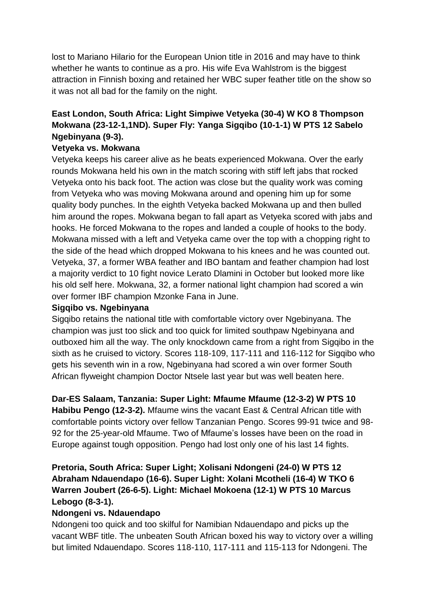lost to Mariano Hilario for the European Union title in 2016 and may have to think whether he wants to continue as a pro. His wife Eva Wahlstrom is the biggest attraction in Finnish boxing and retained her WBC super feather title on the show so it was not all bad for the family on the night.

# **East London, South Africa: Light Simpiwe Vetyeka (30-4) W KO 8 Thompson Mokwana (23-12-1,1ND). Super Fly: Yanga Sigqibo (10-1-1) W PTS 12 Sabelo Ngebinyana (9-3).**

### **Vetyeka vs. Mokwana**

Vetyeka keeps his career alive as he beats experienced Mokwana. Over the early rounds Mokwana held his own in the match scoring with stiff left jabs that rocked Vetyeka onto his back foot. The action was close but the quality work was coming from Vetyeka who was moving Mokwana around and opening him up for some quality body punches. In the eighth Vetyeka backed Mokwana up and then bulled him around the ropes. Mokwana began to fall apart as Vetyeka scored with jabs and hooks. He forced Mokwana to the ropes and landed a couple of hooks to the body. Mokwana missed with a left and Vetyeka came over the top with a chopping right to the side of the head which dropped Mokwana to his knees and he was counted out. Vetyeka, 37, a former WBA feather and IBO bantam and feather champion had lost a majority verdict to 10 fight novice Lerato Dlamini in October but looked more like his old self here. Mokwana, 32, a former national light champion had scored a win over former IBF champion Mzonke Fana in June.

### **Sigqibo vs. Ngebinyana**

Sigqibo retains the national title with comfortable victory over Ngebinyana. The champion was just too slick and too quick for limited southpaw Ngebinyana and outboxed him all the way. The only knockdown came from a right from Sigqibo in the sixth as he cruised to victory. Scores 118-109, 117-111 and 116-112 for Sigqibo who gets his seventh win in a row, Ngebinyana had scored a win over former South African flyweight champion Doctor Ntsele last year but was well beaten here.

**Dar-ES Salaam, Tanzania: Super Light: Mfaume Mfaume (12-3-2) W PTS 10** 

**Habibu Pengo (12-3-2).** Mfaume wins the vacant East & Central African title with comfortable points victory over fellow Tanzanian Pengo. Scores 99-91 twice and 98- 92 for the 25-year-old Mfaume. Two of Mfaume's losses have been on the road in Europe against tough opposition. Pengo had lost only one of his last 14 fights.

## **Pretoria, South Africa: Super Light; Xolisani Ndongeni (24-0) W PTS 12 Abraham Ndauendapo (16-6). Super Light: Xolani Mcotheli (16-4) W TKO 6 Warren Joubert (26-6-5). Light: Michael Mokoena (12-1) W PTS 10 Marcus Lebogo (8-3-1).**

### **Ndongeni vs. Ndauendapo**

Ndongeni too quick and too skilful for Namibian Ndauendapo and picks up the vacant WBF title. The unbeaten South African boxed his way to victory over a willing but limited Ndauendapo. Scores 118-110, 117-111 and 115-113 for Ndongeni. The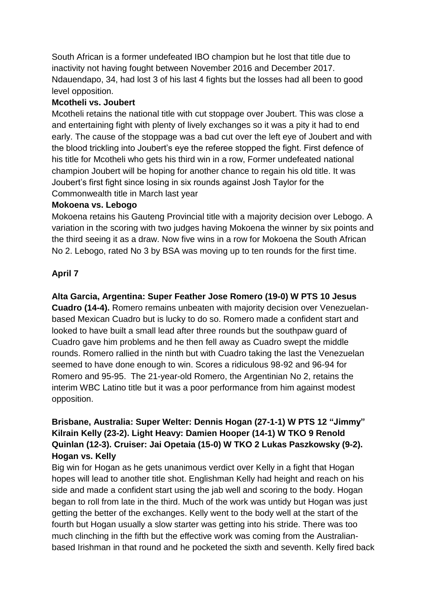South African is a former undefeated IBO champion but he lost that title due to inactivity not having fought between November 2016 and December 2017. Ndauendapo, 34, had lost 3 of his last 4 fights but the losses had all been to good level opposition.

### **Mcotheli vs. Joubert**

Mcotheli retains the national title with cut stoppage over Joubert. This was close a and entertaining fight with plenty of lively exchanges so it was a pity it had to end early. The cause of the stoppage was a bad cut over the left eye of Joubert and with the blood trickling into Joubert's eye the referee stopped the fight. First defence of his title for Mcotheli who gets his third win in a row, Former undefeated national champion Joubert will be hoping for another chance to regain his old title. It was Joubert's first fight since losing in six rounds against Josh Taylor for the Commonwealth title in March last year

### **Mokoena vs. Lebogo**

Mokoena retains his Gauteng Provincial title with a majority decision over Lebogo. A variation in the scoring with two judges having Mokoena the winner by six points and the third seeing it as a draw. Now five wins in a row for Mokoena the South African No 2. Lebogo, rated No 3 by BSA was moving up to ten rounds for the first time.

## **April 7**

## **Alta Garcia, Argentina: Super Feather Jose Romero (19-0) W PTS 10 Jesus**

**Cuadro (14-4).** Romero remains unbeaten with majority decision over Venezuelanbased Mexican Cuadro but is lucky to do so. Romero made a confident start and looked to have built a small lead after three rounds but the southpaw guard of Cuadro gave him problems and he then fell away as Cuadro swept the middle rounds. Romero rallied in the ninth but with Cuadro taking the last the Venezuelan seemed to have done enough to win. Scores a ridiculous 98-92 and 96-94 for Romero and 95-95. The 21-year-old Romero, the Argentinian No 2, retains the interim WBC Latino title but it was a poor performance from him against modest opposition.

## **Brisbane, Australia: Super Welter: Dennis Hogan (27-1-1) W PTS 12 "Jimmy" Kilrain Kelly (23-2). Light Heavy: Damien Hooper (14-1) W TKO 9 Renold Quinlan (12-3). Cruiser: Jai Opetaia (15-0) W TKO 2 Lukas Paszkowsky (9-2). Hogan vs. Kelly**

Big win for Hogan as he gets unanimous verdict over Kelly in a fight that Hogan hopes will lead to another title shot. Englishman Kelly had height and reach on his side and made a confident start using the jab well and scoring to the body. Hogan began to roll from late in the third. Much of the work was untidy but Hogan was just getting the better of the exchanges. Kelly went to the body well at the start of the fourth but Hogan usually a slow starter was getting into his stride. There was too much clinching in the fifth but the effective work was coming from the Australianbased Irishman in that round and he pocketed the sixth and seventh. Kelly fired back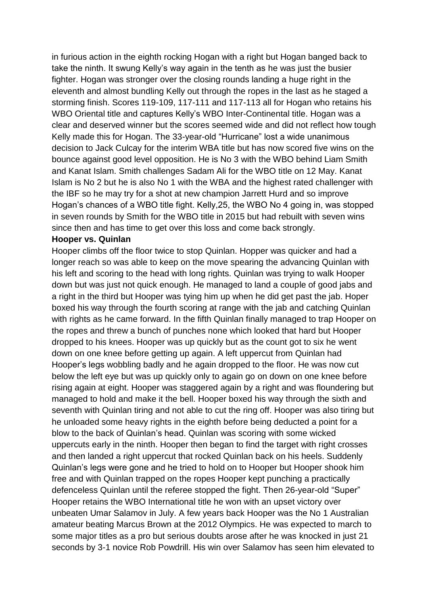in furious action in the eighth rocking Hogan with a right but Hogan banged back to take the ninth. It swung Kelly's way again in the tenth as he was just the busier fighter. Hogan was stronger over the closing rounds landing a huge right in the eleventh and almost bundling Kelly out through the ropes in the last as he staged a storming finish. Scores 119-109, 117-111 and 117-113 all for Hogan who retains his WBO Oriental title and captures Kelly's WBO Inter-Continental title. Hogan was a clear and deserved winner but the scores seemed wide and did not reflect how tough Kelly made this for Hogan. The 33-year-old "Hurricane" lost a wide unanimous decision to Jack Culcay for the interim WBA title but has now scored five wins on the bounce against good level opposition. He is No 3 with the WBO behind Liam Smith and Kanat Islam. Smith challenges Sadam Ali for the WBO title on 12 May. Kanat Islam is No 2 but he is also No 1 with the WBA and the highest rated challenger with the IBF so he may try for a shot at new champion Jarrett Hurd and so improve Hogan's chances of a WBO title fight. Kelly,25, the WBO No 4 going in, was stopped in seven rounds by Smith for the WBO title in 2015 but had rebuilt with seven wins since then and has time to get over this loss and come back strongly.

#### **Hooper vs. Quinlan**

Hooper climbs off the floor twice to stop Quinlan. Hopper was quicker and had a longer reach so was able to keep on the move spearing the advancing Quinlan with his left and scoring to the head with long rights. Quinlan was trying to walk Hooper down but was just not quick enough. He managed to land a couple of good jabs and a right in the third but Hooper was tying him up when he did get past the jab. Hoper boxed his way through the fourth scoring at range with the jab and catching Quinlan with rights as he came forward. In the fifth Quinlan finally managed to trap Hooper on the ropes and threw a bunch of punches none which looked that hard but Hooper dropped to his knees. Hooper was up quickly but as the count got to six he went down on one knee before getting up again. A left uppercut from Quinlan had Hooper's legs wobbling badly and he again dropped to the floor. He was now cut below the left eye but was up quickly only to again go on down on one knee before rising again at eight. Hooper was staggered again by a right and was floundering but managed to hold and make it the bell. Hooper boxed his way through the sixth and seventh with Quinlan tiring and not able to cut the ring off. Hooper was also tiring but he unloaded some heavy rights in the eighth before being deducted a point for a blow to the back of Quinlan's head. Quinlan was scoring with some wicked uppercuts early in the ninth. Hooper then began to find the target with right crosses and then landed a right uppercut that rocked Quinlan back on his heels. Suddenly Quinlan's legs were gone and he tried to hold on to Hooper but Hooper shook him free and with Quinlan trapped on the ropes Hooper kept punching a practically defenceless Quinlan until the referee stopped the fight. Then 26-year-old "Super" Hooper retains the WBO International title he won with an upset victory over unbeaten Umar Salamov in July. A few years back Hooper was the No 1 Australian amateur beating Marcus Brown at the 2012 Olympics. He was expected to march to some major titles as a pro but serious doubts arose after he was knocked in just 21 seconds by 3-1 novice Rob Powdrill. His win over Salamov has seen him elevated to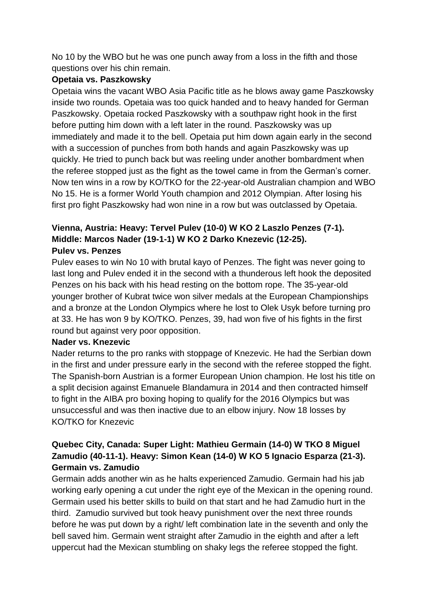No 10 by the WBO but he was one punch away from a loss in the fifth and those questions over his chin remain.

### **Opetaia vs. Paszkowsky**

Opetaia wins the vacant WBO Asia Pacific title as he blows away game Paszkowsky inside two rounds. Opetaia was too quick handed and to heavy handed for German Paszkowsky. Opetaia rocked Paszkowsky with a southpaw right hook in the first before putting him down with a left later in the round. Paszkowsky was up immediately and made it to the bell. Opetaia put him down again early in the second with a succession of punches from both hands and again Paszkowsky was up quickly. He tried to punch back but was reeling under another bombardment when the referee stopped just as the fight as the towel came in from the German's corner. Now ten wins in a row by KO/TKO for the 22-year-old Australian champion and WBO No 15. He is a former World Youth champion and 2012 Olympian. After losing his first pro fight Paszkowsky had won nine in a row but was outclassed by Opetaia.

#### **Vienna, Austria: Heavy: Tervel Pulev (10-0) W KO 2 Laszlo Penzes (7-1). Middle: Marcos Nader (19-1-1) W KO 2 Darko Knezevic (12-25). Pulev vs. Penzes**

Pulev eases to win No 10 with brutal kayo of Penzes. The fight was never going to last long and Pulev ended it in the second with a thunderous left hook the deposited Penzes on his back with his head resting on the bottom rope. The 35-year-old younger brother of Kubrat twice won silver medals at the European Championships and a bronze at the London Olympics where he lost to Olek Usyk before turning pro at 33. He has won 9 by KO/TKO. Penzes, 39, had won five of his fights in the first round but against very poor opposition.

### **Nader vs. Knezevic**

Nader returns to the pro ranks with stoppage of Knezevic. He had the Serbian down in the first and under pressure early in the second with the referee stopped the fight. The Spanish-born Austrian is a former European Union champion. He lost his title on a split decision against Emanuele Blandamura in 2014 and then contracted himself to fight in the AIBA pro boxing hoping to qualify for the 2016 Olympics but was unsuccessful and was then inactive due to an elbow injury. Now 18 losses by KO/TKO for Knezevic

### **Quebec City, Canada: Super Light: Mathieu Germain (14-0) W TKO 8 Miguel Zamudio (40-11-1). Heavy: Simon Kean (14-0) W KO 5 Ignacio Esparza (21-3). Germain vs. Zamudio**

Germain adds another win as he halts experienced Zamudio. Germain had his jab working early opening a cut under the right eye of the Mexican in the opening round. Germain used his better skills to build on that start and he had Zamudio hurt in the third. Zamudio survived but took heavy punishment over the next three rounds before he was put down by a right/ left combination late in the seventh and only the bell saved him. Germain went straight after Zamudio in the eighth and after a left uppercut had the Mexican stumbling on shaky legs the referee stopped the fight.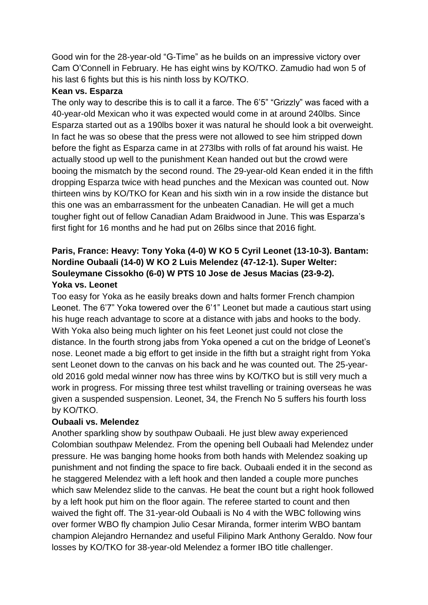Good win for the 28-year-old "G-Time" as he builds on an impressive victory over Cam O'Connell in February. He has eight wins by KO/TKO. Zamudio had won 5 of his last 6 fights but this is his ninth loss by KO/TKO.

#### **Kean vs. Esparza**

The only way to describe this is to call it a farce. The 6'5" "Grizzly" was faced with a 40-year-old Mexican who it was expected would come in at around 240lbs. Since Esparza started out as a 190lbs boxer it was natural he should look a bit overweight. In fact he was so obese that the press were not allowed to see him stripped down before the fight as Esparza came in at 273lbs with rolls of fat around his waist. He actually stood up well to the punishment Kean handed out but the crowd were booing the mismatch by the second round. The 29-year-old Kean ended it in the fifth dropping Esparza twice with head punches and the Mexican was counted out. Now thirteen wins by KO/TKO for Kean and his sixth win in a row inside the distance but this one was an embarrassment for the unbeaten Canadian. He will get a much tougher fight out of fellow Canadian Adam Braidwood in June. This was Esparza's first fight for 16 months and he had put on 26lbs since that 2016 fight.

## **Paris, France: Heavy: Tony Yoka (4-0) W KO 5 Cyril Leonet (13-10-3). Bantam: Nordine Oubaali (14-0) W KO 2 Luis Melendez (47-12-1). Super Welter: Souleymane Cissokho (6-0) W PTS 10 Jose de Jesus Macias (23-9-2). Yoka vs. Leonet**

Too easy for Yoka as he easily breaks down and halts former French champion Leonet. The 6'7" Yoka towered over the 6'1" Leonet but made a cautious start using his huge reach advantage to score at a distance with jabs and hooks to the body. With Yoka also being much lighter on his feet Leonet just could not close the distance. In the fourth strong jabs from Yoka opened a cut on the bridge of Leonet's nose. Leonet made a big effort to get inside in the fifth but a straight right from Yoka sent Leonet down to the canvas on his back and he was counted out. The 25-yearold 2016 gold medal winner now has three wins by KO/TKO but is still very much a work in progress. For missing three test whilst travelling or training overseas he was given a suspended suspension. Leonet, 34, the French No 5 suffers his fourth loss by KO/TKO.

### **Oubaali vs. Melendez**

Another sparkling show by southpaw Oubaali. He just blew away experienced Colombian southpaw Melendez. From the opening bell Oubaali had Melendez under pressure. He was banging home hooks from both hands with Melendez soaking up punishment and not finding the space to fire back. Oubaali ended it in the second as he staggered Melendez with a left hook and then landed a couple more punches which saw Melendez slide to the canvas. He beat the count but a right hook followed by a left hook put him on the floor again. The referee started to count and then waived the fight off. The 31-year-old Oubaali is No 4 with the WBC following wins over former WBO fly champion Julio Cesar Miranda, former interim WBO bantam champion Alejandro Hernandez and useful Filipino Mark Anthony Geraldo. Now four losses by KO/TKO for 38-year-old Melendez a former IBO title challenger.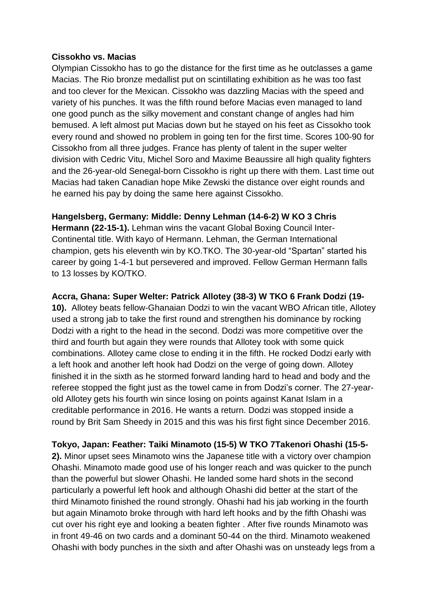#### **Cissokho vs. Macias**

Olympian Cissokho has to go the distance for the first time as he outclasses a game Macias. The Rio bronze medallist put on scintillating exhibition as he was too fast and too clever for the Mexican. Cissokho was dazzling Macias with the speed and variety of his punches. It was the fifth round before Macias even managed to land one good punch as the silky movement and constant change of angles had him bemused. A left almost put Macias down but he stayed on his feet as Cissokho took every round and showed no problem in going ten for the first time. Scores 100-90 for Cissokho from all three judges. France has plenty of talent in the super welter division with Cedric Vitu, Michel Soro and Maxime Beaussire all high quality fighters and the 26-year-old Senegal-born Cissokho is right up there with them. Last time out Macias had taken Canadian hope Mike Zewski the distance over eight rounds and he earned his pay by doing the same here against Cissokho.

**Hangelsberg, Germany: Middle: Denny Lehman (14-6-2) W KO 3 Chris Hermann (22-15-1).** Lehman wins the vacant Global Boxing Council Inter-Continental title. With kayo of Hermann. Lehman, the German International champion, gets his eleventh win by KO.TKO. The 30-year-old "Spartan" started his career by going 1-4-1 but persevered and improved. Fellow German Hermann falls to 13 losses by KO/TKO.

**Accra, Ghana: Super Welter: Patrick Allotey (38-3) W TKO 6 Frank Dodzi (19-**

**10).** Allotey beats fellow-Ghanaian Dodzi to win the vacant WBO African title, Allotey used a strong jab to take the first round and strengthen his dominance by rocking Dodzi with a right to the head in the second. Dodzi was more competitive over the third and fourth but again they were rounds that Allotey took with some quick combinations. Allotey came close to ending it in the fifth. He rocked Dodzi early with a left hook and another left hook had Dodzi on the verge of going down. Allotey finished it in the sixth as he stormed forward landing hard to head and body and the referee stopped the fight just as the towel came in from Dodzi's corner. The 27-yearold Allotey gets his fourth win since losing on points against Kanat Islam in a creditable performance in 2016. He wants a return. Dodzi was stopped inside a round by Brit Sam Sheedy in 2015 and this was his first fight since December 2016.

**Tokyo, Japan: Feather: Taiki Minamoto (15-5) W TKO 7Takenori Ohashi (15-5- 2).** Minor upset sees Minamoto wins the Japanese title with a victory over champion Ohashi. Minamoto made good use of his longer reach and was quicker to the punch than the powerful but slower Ohashi. He landed some hard shots in the second particularly a powerful left hook and although Ohashi did better at the start of the third Minamoto finished the round strongly. Ohashi had his jab working in the fourth but again Minamoto broke through with hard left hooks and by the fifth Ohashi was cut over his right eye and looking a beaten fighter . After five rounds Minamoto was in front 49-46 on two cards and a dominant 50-44 on the third. Minamoto weakened Ohashi with body punches in the sixth and after Ohashi was on unsteady legs from a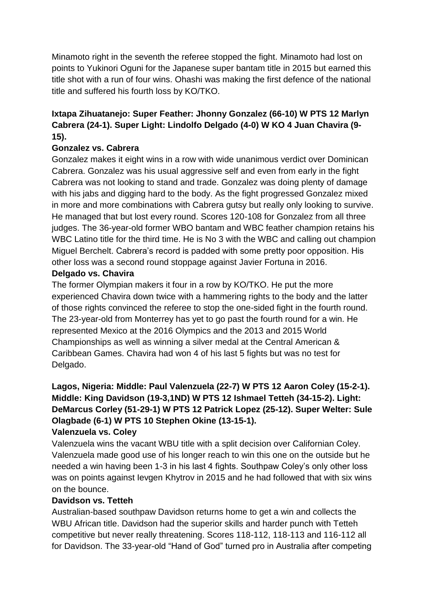Minamoto right in the seventh the referee stopped the fight. Minamoto had lost on points to Yukinori Oguni for the Japanese super bantam title in 2015 but earned this title shot with a run of four wins. Ohashi was making the first defence of the national title and suffered his fourth loss by KO/TKO.

## **Ixtapa Zihuatanejo: Super Feather: Jhonny Gonzalez (66-10) W PTS 12 Marlyn Cabrera (24-1). Super Light: Lindolfo Delgado (4-0) W KO 4 Juan Chavira (9- 15).**

### **Gonzalez vs. Cabrera**

Gonzalez makes it eight wins in a row with wide unanimous verdict over Dominican Cabrera. Gonzalez was his usual aggressive self and even from early in the fight Cabrera was not looking to stand and trade. Gonzalez was doing plenty of damage with his jabs and digging hard to the body. As the fight progressed Gonzalez mixed in more and more combinations with Cabrera gutsy but really only looking to survive. He managed that but lost every round. Scores 120-108 for Gonzalez from all three judges. The 36-year-old former WBO bantam and WBC feather champion retains his WBC Latino title for the third time. He is No 3 with the WBC and calling out champion Miguel Berchelt. Cabrera's record is padded with some pretty poor opposition. His other loss was a second round stoppage against Javier Fortuna in 2016.

### **Delgado vs. Chavira**

The former Olympian makers it four in a row by KO/TKO. He put the more experienced Chavira down twice with a hammering rights to the body and the latter of those rights convinced the referee to stop the one-sided fight in the fourth round. The 23-year-old from Monterrey has yet to go past the fourth round for a win. He represented Mexico at the 2016 Olympics and the 2013 and 2015 World Championships as well as winning a silver medal at the Central American & Caribbean Games. Chavira had won 4 of his last 5 fights but was no test for Delgado.

### **Lagos, Nigeria: Middle: Paul Valenzuela (22-7) W PTS 12 Aaron Coley (15-2-1). Middle: King Davidson (19-3,1ND) W PTS 12 Ishmael Tetteh (34-15-2). Light: DeMarcus Corley (51-29-1) W PTS 12 Patrick Lopez (25-12). Super Welter: Sule Olagbade (6-1) W PTS 10 Stephen Okine (13-15-1). Valenzuela vs. Coley**

Valenzuela wins the vacant WBU title with a split decision over Californian Coley. Valenzuela made good use of his longer reach to win this one on the outside but he needed a win having been 1-3 in his last 4 fights. Southpaw Coley's only other loss was on points against Ievgen Khytrov in 2015 and he had followed that with six wins on the bounce.

### **Davidson vs. Tetteh**

Australian-based southpaw Davidson returns home to get a win and collects the WBU African title. Davidson had the superior skills and harder punch with Tetteh competitive but never really threatening. Scores 118-112, 118-113 and 116-112 all for Davidson. The 33-year-old "Hand of God" turned pro in Australia after competing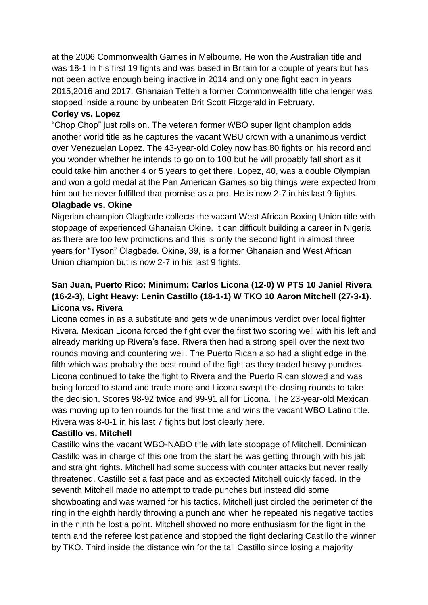at the 2006 Commonwealth Games in Melbourne. He won the Australian title and was 18-1 in his first 19 fights and was based in Britain for a couple of years but has not been active enough being inactive in 2014 and only one fight each in years 2015,2016 and 2017. Ghanaian Tetteh a former Commonwealth title challenger was stopped inside a round by unbeaten Brit Scott Fitzgerald in February.

### **Corley vs. Lopez**

"Chop Chop" just rolls on. The veteran former WBO super light champion adds another world title as he captures the vacant WBU crown with a unanimous verdict over Venezuelan Lopez. The 43-year-old Coley now has 80 fights on his record and you wonder whether he intends to go on to 100 but he will probably fall short as it could take him another 4 or 5 years to get there. Lopez, 40, was a double Olympian and won a gold medal at the Pan American Games so big things were expected from him but he never fulfilled that promise as a pro. He is now 2-7 in his last 9 fights.

#### **Olagbade vs. Okine**

Nigerian champion Olagbade collects the vacant West African Boxing Union title with stoppage of experienced Ghanaian Okine. It can difficult building a career in Nigeria as there are too few promotions and this is only the second fight in almost three years for "Tyson" Olagbade. Okine, 39, is a former Ghanaian and West African Union champion but is now 2-7 in his last 9 fights.

### **San Juan, Puerto Rico: Minimum: Carlos Licona (12-0) W PTS 10 Janiel Rivera (16-2-3), Light Heavy: Lenin Castillo (18-1-1) W TKO 10 Aaron Mitchell (27-3-1). Licona vs. Rivera**

Licona comes in as a substitute and gets wide unanimous verdict over local fighter Rivera. Mexican Licona forced the fight over the first two scoring well with his left and already marking up Rivera's face. Rivera then had a strong spell over the next two rounds moving and countering well. The Puerto Rican also had a slight edge in the fifth which was probably the best round of the fight as they traded heavy punches. Licona continued to take the fight to Rivera and the Puerto Rican slowed and was being forced to stand and trade more and Licona swept the closing rounds to take the decision. Scores 98-92 twice and 99-91 all for Licona. The 23-year-old Mexican was moving up to ten rounds for the first time and wins the vacant WBO Latino title. Rivera was 8-0-1 in his last 7 fights but lost clearly here.

### **Castillo vs. Mitchell**

Castillo wins the vacant WBO-NABO title with late stoppage of Mitchell. Dominican Castillo was in charge of this one from the start he was getting through with his jab and straight rights. Mitchell had some success with counter attacks but never really threatened. Castillo set a fast pace and as expected Mitchell quickly faded. In the seventh Mitchell made no attempt to trade punches but instead did some showboating and was warned for his tactics. Mitchell just circled the perimeter of the ring in the eighth hardly throwing a punch and when he repeated his negative tactics in the ninth he lost a point. Mitchell showed no more enthusiasm for the fight in the tenth and the referee lost patience and stopped the fight declaring Castillo the winner by TKO. Third inside the distance win for the tall Castillo since losing a majority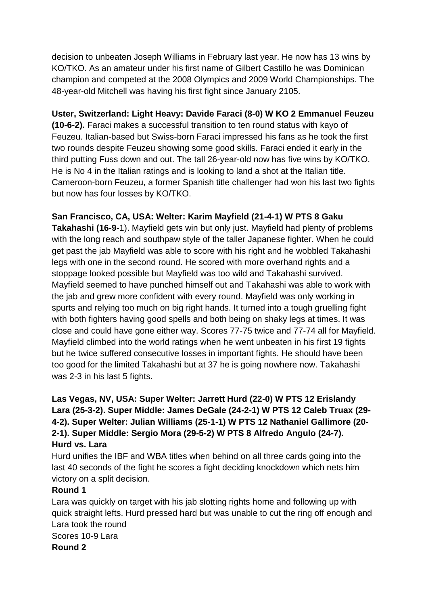decision to unbeaten Joseph Williams in February last year. He now has 13 wins by KO/TKO. As an amateur under his first name of Gilbert Castillo he was Dominican champion and competed at the 2008 Olympics and 2009 World Championships. The 48-year-old Mitchell was having his first fight since January 2105.

### **Uster, Switzerland: Light Heavy: Davide Faraci (8-0) W KO 2 Emmanuel Feuzeu**

**(10-6-2).** Faraci makes a successful transition to ten round status with kayo of Feuzeu. Italian-based but Swiss-born Faraci impressed his fans as he took the first two rounds despite Feuzeu showing some good skills. Faraci ended it early in the third putting Fuss down and out. The tall 26-year-old now has five wins by KO/TKO. He is No 4 in the Italian ratings and is looking to land a shot at the Italian title. Cameroon-born Feuzeu, a former Spanish title challenger had won his last two fights but now has four losses by KO/TKO.

## **San Francisco, CA, USA: Welter: Karim Mayfield (21-4-1) W PTS 8 Gaku**

**Takahashi (16-9-**1). Mayfield gets win but only just. Mayfield had plenty of problems with the long reach and southpaw style of the taller Japanese fighter. When he could get past the jab Mayfield was able to score with his right and he wobbled Takahashi legs with one in the second round. He scored with more overhand rights and a stoppage looked possible but Mayfield was too wild and Takahashi survived. Mayfield seemed to have punched himself out and Takahashi was able to work with the jab and grew more confident with every round. Mayfield was only working in spurts and relying too much on big right hands. It turned into a tough gruelling fight with both fighters having good spells and both being on shaky legs at times. It was close and could have gone either way. Scores 77-75 twice and 77-74 all for Mayfield. Mayfield climbed into the world ratings when he went unbeaten in his first 19 fights but he twice suffered consecutive losses in important fights. He should have been too good for the limited Takahashi but at 37 he is going nowhere now. Takahashi was 2-3 in his last 5 fights.

## **Las Vegas, NV, USA: Super Welter: Jarrett Hurd (22-0) W PTS 12 Erislandy Lara (25-3-2). Super Middle: James DeGale (24-2-1) W PTS 12 Caleb Truax (29- 4-2). Super Welter: Julian Williams (25-1-1) W PTS 12 Nathaniel Gallimore (20- 2-1). Super Middle: Sergio Mora (29-5-2) W PTS 8 Alfredo Angulo (24-7). Hurd vs. Lara**

Hurd unifies the IBF and WBA titles when behind on all three cards going into the last 40 seconds of the fight he scores a fight deciding knockdown which nets him victory on a split decision.

### **Round 1**

Lara was quickly on target with his jab slotting rights home and following up with quick straight lefts. Hurd pressed hard but was unable to cut the ring off enough and Lara took the round Scores 10-9 Lara **Round 2**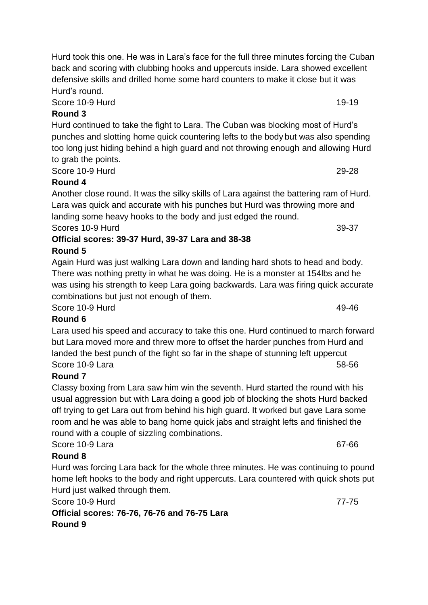Score 10-9 Hurd 19-19

# **Round 3**

Hurd continued to take the fight to Lara. The Cuban was blocking most of Hurd's punches and slotting home quick countering lefts to the body but was also spending too long just hiding behind a high guard and not throwing enough and allowing Hurd to grab the points.

Score 10-9 Hurd 29-28

## **Round 4**

Another close round. It was the silky skills of Lara against the battering ram of Hurd. Lara was quick and accurate with his punches but Hurd was throwing more and landing some heavy hooks to the body and just edged the round.

Scores 10-9 Hurd 39-37

## **Official scores: 39-37 Hurd, 39-37 Lara and 38-38 Round 5**

Again Hurd was just walking Lara down and landing hard shots to head and body. There was nothing pretty in what he was doing. He is a monster at 154lbs and he was using his strength to keep Lara going backwards. Lara was firing quick accurate combinations but just not enough of them.

Score 10-9 Hurd 49-46

# **Round 6**

Lara used his speed and accuracy to take this one. Hurd continued to march forward but Lara moved more and threw more to offset the harder punches from Hurd and landed the best punch of the fight so far in the shape of stunning left uppercut Score 10-9 Lara 58-56

# **Round 7**

Classy boxing from Lara saw him win the seventh. Hurd started the round with his usual aggression but with Lara doing a good job of blocking the shots Hurd backed off trying to get Lara out from behind his high guard. It worked but gave Lara some room and he was able to bang home quick jabs and straight lefts and finished the round with a couple of sizzling combinations.

Score 10-9 Lara 67-66

# **Round 8**

Hurd was forcing Lara back for the whole three minutes. He was continuing to pound home left hooks to the body and right uppercuts. Lara countered with quick shots put Hurd just walked through them.

Score 10-9 Hurd **77-75** 

**Official scores: 76-76, 76-76 and 76-75 Lara Round 9**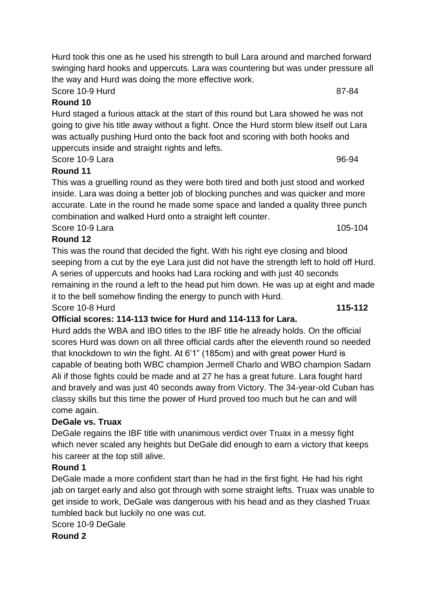Hurd took this one as he used his strength to bull Lara around and marched forward swinging hard hooks and uppercuts. Lara was countering but was under pressure all the way and Hurd was doing the more effective work.

Score 10-9 Hurd 87-84

### **Round 10**

Hurd staged a furious attack at the start of this round but Lara showed he was not going to give his title away without a fight. Once the Hurd storm blew itself out Lara was actually pushing Hurd onto the back foot and scoring with both hooks and uppercuts inside and straight rights and lefts.

Score 10-9 Lara 96-94

## **Round 11**

This was a gruelling round as they were both tired and both just stood and worked inside. Lara was doing a better job of blocking punches and was quicker and more accurate. Late in the round he made some space and landed a quality three punch combination and walked Hurd onto a straight left counter.

Score 10-9 Lara 105-104

## **Round 12**

This was the round that decided the fight. With his right eye closing and blood seeping from a cut by the eye Lara just did not have the strength left to hold off Hurd. A series of uppercuts and hooks had Lara rocking and with just 40 seconds remaining in the round a left to the head put him down. He was up at eight and made it to the bell somehow finding the energy to punch with Hurd.

Score 10-8 Hurd **115-112**

# **Official scores: 114-113 twice for Hurd and 114-113 for Lara.**

Hurd adds the WBA and IBO titles to the IBF title he already holds. On the official scores Hurd was down on all three official cards after the eleventh round so needed that knockdown to win the fight. At 6'1" (185cm) and with great power Hurd is capable of beating both WBC champion Jermell Charlo and WBO champion Sadam Ali if those fights could be made and at 27 he has a great future. Lara fought hard and bravely and was just 40 seconds away from Victory. The 34-year-old Cuban has classy skills but this time the power of Hurd proved too much but he can and will come again.

# **DeGale vs. Truax**

DeGale regains the IBF title with unanimous verdict over Truax in a messy fight which never scaled any heights but DeGale did enough to earn a victory that keeps his career at the top still alive.

## **Round 1**

DeGale made a more confident start than he had in the first fight. He had his right jab on target early and also got through with some straight lefts. Truax was unable to get inside to work, DeGale was dangerous with his head and as they clashed Truax tumbled back but luckily no one was cut.

## Score 10-9 DeGale

**Round 2**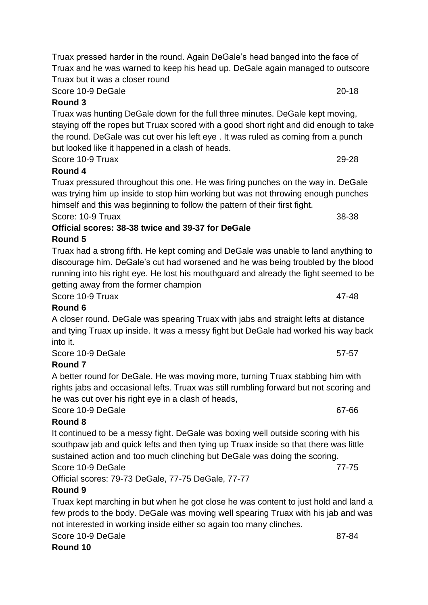Score 10-9 DeGale 20-18

# **Round 3**

Truax was hunting DeGale down for the full three minutes. DeGale kept moving, staying off the ropes but Truax scored with a good short right and did enough to take the round. DeGale was cut over his left eye . It was ruled as coming from a punch but looked like it happened in a clash of heads.

Score 10-9 Truax 29-28

## **Round 4**

Truax pressured throughout this one. He was firing punches on the way in. DeGale was trying him up inside to stop him working but was not throwing enough punches himself and this was beginning to follow the pattern of their first fight. Score: 10-9 Truax 38-38

### **Official scores: 38-38 twice and 39-37 for DeGale Round 5**

Truax had a strong fifth. He kept coming and DeGale was unable to land anything to discourage him. DeGale's cut had worsened and he was being troubled by the blood running into his right eye. He lost his mouthguard and already the fight seemed to be getting away from the former champion

Score 10-9 Truax 47-48

# **Round 6**

A closer round. DeGale was spearing Truax with jabs and straight lefts at distance and tying Truax up inside. It was a messy fight but DeGale had worked his way back into it.

Score 10-9 DeGale 57-57

# **Round 7**

A better round for DeGale. He was moving more, turning Truax stabbing him with rights jabs and occasional lefts. Truax was still rumbling forward but not scoring and he was cut over his right eye in a clash of heads,

# Score 10-9 DeGale 67-66

# **Round 8**

It continued to be a messy fight. DeGale was boxing well outside scoring with his southpaw jab and quick lefts and then tying up Truax inside so that there was little sustained action and too much clinching but DeGale was doing the scoring. Score 10-9 DeGale 77-75

Official scores: 79-73 DeGale, 77-75 DeGale, 77-77

# **Round 9**

Truax kept marching in but when he got close he was content to just hold and land a few prods to the body. DeGale was moving well spearing Truax with his jab and was not interested in working inside either so again too many clinches.

Score 10-9 DeGale 87-84

## **Round 10**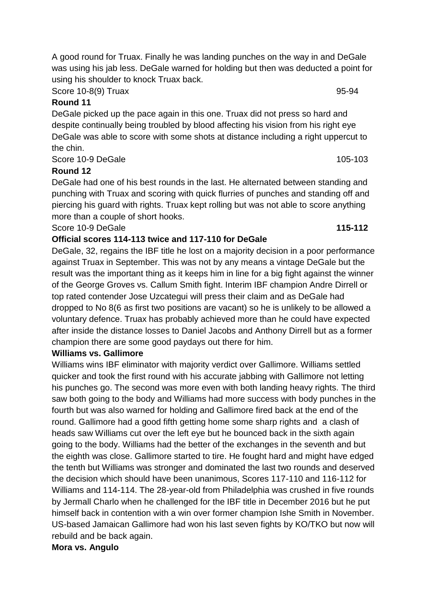A good round for Truax. Finally he was landing punches on the way in and DeGale was using his jab less. DeGale warned for holding but then was deducted a point for using his shoulder to knock Truax back.

Score 10-8(9) Truax 95-94

#### **Round 11**

DeGale picked up the pace again in this one. Truax did not press so hard and despite continually being troubled by blood affecting his vision from his right eye DeGale was able to score with some shots at distance including a right uppercut to the chin.

Score 10-9 DeGale 105-103

### **Round 12**

DeGale had one of his best rounds in the last. He alternated between standing and punching with Truax and scoring with quick flurries of punches and standing off and piercing his guard with rights. Truax kept rolling but was not able to score anything more than a couple of short hooks.

#### Score 10-9 DeGale **115-112**

### **Official scores 114-113 twice and 117-110 for DeGale**

DeGale, 32, regains the IBF title he lost on a majority decision in a poor performance against Truax in September. This was not by any means a vintage DeGale but the result was the important thing as it keeps him in line for a big fight against the winner of the George Groves vs. Callum Smith fight. Interim IBF champion Andre Dirrell or top rated contender Jose Uzcategui will press their claim and as DeGale had dropped to No 8(6 as first two positions are vacant) so he is unlikely to be allowed a voluntary defence. Truax has probably achieved more than he could have expected after inside the distance losses to Daniel Jacobs and Anthony Dirrell but as a former champion there are some good paydays out there for him.

### **Williams vs. Gallimore**

Williams wins IBF eliminator with majority verdict over Gallimore. Williams settled quicker and took the first round with his accurate jabbing with Gallimore not letting his punches go. The second was more even with both landing heavy rights. The third saw both going to the body and Williams had more success with body punches in the fourth but was also warned for holding and Gallimore fired back at the end of the round. Gallimore had a good fifth getting home some sharp rights and a clash of heads saw Williams cut over the left eye but he bounced back in the sixth again going to the body. Williams had the better of the exchanges in the seventh and but the eighth was close. Gallimore started to tire. He fought hard and might have edged the tenth but Williams was stronger and dominated the last two rounds and deserved the decision which should have been unanimous, Scores 117-110 and 116-112 for Williams and 114-114. The 28-year-old from Philadelphia was crushed in five rounds by Jermall Charlo when he challenged for the IBF title in December 2016 but he put himself back in contention with a win over former champion Ishe Smith in November. US-based Jamaican Gallimore had won his last seven fights by KO/TKO but now will rebuild and be back again.

### **Mora vs. Angulo**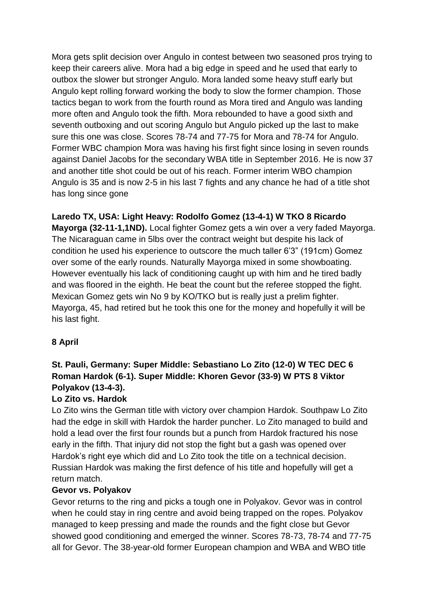Mora gets split decision over Angulo in contest between two seasoned pros trying to keep their careers alive. Mora had a big edge in speed and he used that early to outbox the slower but stronger Angulo. Mora landed some heavy stuff early but Angulo kept rolling forward working the body to slow the former champion. Those tactics began to work from the fourth round as Mora tired and Angulo was landing more often and Angulo took the fifth. Mora rebounded to have a good sixth and seventh outboxing and out scoring Angulo but Angulo picked up the last to make sure this one was close. Scores 78-74 and 77-75 for Mora and 78-74 for Angulo. Former WBC champion Mora was having his first fight since losing in seven rounds against Daniel Jacobs for the secondary WBA title in September 2016. He is now 37 and another title shot could be out of his reach. Former interim WBO champion Angulo is 35 and is now 2-5 in his last 7 fights and any chance he had of a title shot has long since gone

**Laredo TX, USA: Light Heavy: Rodolfo Gomez (13-4-1) W TKO 8 Ricardo Mayorga (32-11-1,1ND).** Local fighter Gomez gets a win over a very faded Mayorga. The Nicaraguan came in 5lbs over the contract weight but despite his lack of condition he used his experience to outscore the much taller 6'3" (191cm) Gomez over some of the early rounds. Naturally Mayorga mixed in some showboating. However eventually his lack of conditioning caught up with him and he tired badly and was floored in the eighth. He beat the count but the referee stopped the fight. Mexican Gomez gets win No 9 by KO/TKO but is really just a prelim fighter. Mayorga, 45, had retired but he took this one for the money and hopefully it will be his last fight.

## **8 April**

# **St. Pauli, Germany: Super Middle: Sebastiano Lo Zito (12-0) W TEC DEC 6 Roman Hardok (6-1). Super Middle: Khoren Gevor (33-9) W PTS 8 Viktor Polyakov (13-4-3).**

## **Lo Zito vs. Hardok**

Lo Zito wins the German title with victory over champion Hardok. Southpaw Lo Zito had the edge in skill with Hardok the harder puncher. Lo Zito managed to build and hold a lead over the first four rounds but a punch from Hardok fractured his nose early in the fifth. That injury did not stop the fight but a gash was opened over Hardok's right eye which did and Lo Zito took the title on a technical decision. Russian Hardok was making the first defence of his title and hopefully will get a return match.

### **Gevor vs. Polyakov**

Gevor returns to the ring and picks a tough one in Polyakov. Gevor was in control when he could stay in ring centre and avoid being trapped on the ropes. Polyakov managed to keep pressing and made the rounds and the fight close but Gevor showed good conditioning and emerged the winner. Scores 78-73, 78-74 and 77-75 all for Gevor. The 38-year-old former European champion and WBA and WBO title